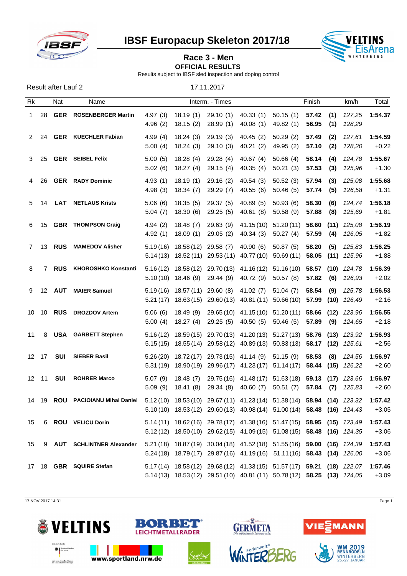

Result after Lauf 2 17.11.2017

**IBSF Europacup Skeleton 2017/18 VELTINS**<br>EisArena



## **Race 3 - Men**

**OFFICIAL RESULTS** 

Results subject to IBSF sled inspection and doping control

Rk Nat Name Interm. - Times Finish km/h Total 1 28 **GER ROSENBERGER Martin** 4.97 (3) 18.19 (1) 29.10 (1) 40.33 (1) 50.15 (1) **57.42 (1)** *127,25* **1:54.37** 4.96 (2) 18.15 (2) 28.99 (1) 40.08 (1) 49.82 (1) **56.95 (1)** *128,29* 2 24 **GER KUECHLER Fabian** 4.99 (4) 18.24 (3) 29.19 (3) 40.45 (2) 50.29 (2) **57.49 (2)** *127,61* **1:54.59** 5.00 (4) 18.24 (3) 29.10 (3) 40.21 (2) 49.95 (2) **57.10 (2)** *128,20* +0.22 3 25 **GER SEIBEL Felix** 5.00 (5) 18.28 (4) 29.28 (4) 40.67 (4) 50.66 (4) **58.14 (4)** *124,78* **1:55.67** 5.02 (6) 18.27 (4) 29.15 (4) 40.35 (4) 50.21 (3) **57.53 (3)** *125,96* +1.30 4 26 **GER RADY Dominic** 4.93 (1) 18.19 (1) 29.16 (2) 40.54 (3) 50.52 (3) **57.94 (3)** *125,08* **1:55.68** 4.98 (3) 18.34 (7) 29.29 (7) 40.55 (6) 50.46 (5) **57.74 (5)** *126,58* +1.31 5 14 **LAT NETLAUS Krists** 5.06 (6) 18.35 (5) 29.37 (5) 40.89 (5) 50.93 (6) **58.30 (6)** *124,74* **1:56.18** 5.04 (7) 18.30 (6) 29.25 (5) 40.61 (8) 50.58 (9) **57.88 (8)** *125,69* +1.81 6 15 **GBR THOMPSON Craig** 4.94 (2) 18.48 (7) 29.63 (9) 41.15 (10) 51.20 (11) **58.60 (11)** *125,08* **1:56.19** 4.92 (1) 18.09 (1) 29.05 (2) 40.34 (3) 50.27 (4) **57.59 (4)** *126,05* +1.82 7 13 **RUS MAMEDOV Alisher** 5.19 (16) 18.58 (12) 29.58 (7) 40.90 (6) 50.87 (5) **58.20 (5)** *125,83* **1:56.25** 5.14 (13) 18.52 (11) 29.53 (11) 40.77 (10) 50.69 (11) **58.05 (11)** *125,96* +1.88 8 7 **RUS KHOROSHKO Konstantin** 5.16 (12) 18.58 (12) 29.70 (13) 41.16 (12) 51.16 (10) **58.57 (10)** *124,78* **1:56.39** 5.10 (10) 18.46 (9) 29.44 (9) 40.72 (9) 50.57 (8) **57.82 (6)** *126,93* +2.02 9 12 **AUT MAIER Samuel** 5.19 (16) 18.57 (11) 29.60 (8) 41.02 (7) 51.04 (7) **58.54 (9)** *125,78* **1:56.53** 5.21 (17) 18.63 (15) 29.60 (13) 40.81 (11) 50.66 (10) **57.99 (10)** *126,49* +2.16 10 10 **RUS DROZDOV Artem** 5.06 (6) 18.49 (9) 29.65 (10) 41.15 (10) 51.20 (11) **58.66 (12)** *123,96* **1:56.55** 5.00 (4) 18.27 (4) 29.25 (5) 40.50 (5) 50.46 (5) **57.89 (9)** *124,65* +2.18 11 8 **USA GARBETT Stephen** 5.16 (12) 18.59 (15) 29.70 (13) 41.20 (13) 51.27 (13) **58.76 (13)** *123,92* **1:56.93** 5.15 (15) 18.55 (14) 29.58 (12) 40.89 (13) 50.83 (13) **58.17 (12)** *125,61* +2.56 12 17 **SUI SIEBER Basil** 5.26 (20) 18.72 (17) 29.73 (15) 41.14 (9) 51.15 (9) **58.53 (8)** *124,56* **1:56.97** 5.31 (19) 18.90 (19) 29.96 (17) 41.23 (17) 51.14 (17) **58.44 (15)** *126,22* +2.60 12 11 **SUI ROHRER Marco** 5.07 (9) 18.48 (7) 29.75 (16) 41.48 (17) 51.63 (18) **59.13 (17)** *123,66* **1:56.97** 5.09 (9) 18.41 (8) 29.34 (8) 40.60 (7) 50.51 (7) **57.84 (7)** *125,83* +2.60 14 19 **ROU PACIOIANU Mihai Daniel** 5.12 (10) 18.53 (10) 29.67 (11) 41.23 (14) 51.38 (14) **58.94 (14)** *123,32* **1:57.42** 5.10 (10) 18.53 (12) 29.60 (13) 40.98 (14) 51.00 (14) **58.48 (16)** *124,43* +3.05 15 6 **ROU VELICU Dorin** 5.14 (11) 18.62 (16) 29.78 (17) 41.38 (16) 51.47 (15) **58.95 (15)** *123,49* **1:57.43** 5.12 (12) 18.50 (10) 29.62 (15) 41.09 (15) 51.08 (15) **58.48 (16)** *124,35* +3.06 15 9 **AUT SCHLINTNER Alexander** 5.21 (18) 18.87 (19) 30.04 (18) 41.52 (18) 51.55 (16) **59.00 (16)** *124,39* **1:57.43** 5.24 (18) 18.79 (17) 29.87 (16) 41.19 (16) 51.11(16) **58.43 (14)** *126,00* +3.06 17 18 **GBR SQUIRE Stefan** 5.17 (14) 18.58 (12) 29.68 (12) 41.33 (15) 51.57 (17) **59.21 (18)** *122,07* **1:57.46** 5.14 (13) 18.53 (12) 29.51 (10) 40.81 (11) 50.78 (12) **58.25 (13)** *124,05* +3.09

17 NOV 2017 14:31 Page 1







 $\sqrt{M}$ 



**WM 2019**<br>RENNRODELN WINTERBERG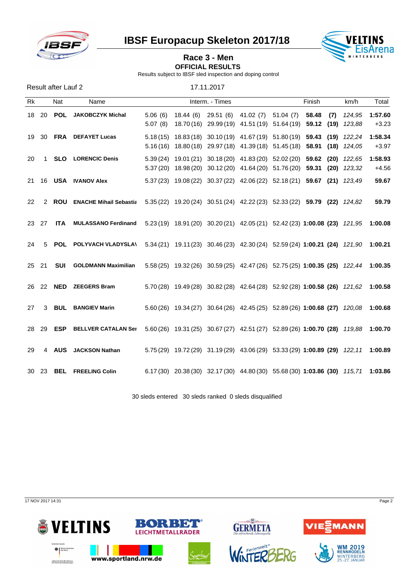

**IBSF Europacup Skeleton 2017/18 VELTINS** 



## **Race 3 - Men OFFICIAL RESULTS**

Results subject to IBSF sled inspection and doping control

| Result after Lauf 2 | 17.11.2017 |  |
|---------------------|------------|--|

| <b>Rk</b> |                | Nat | Name                                                                                                      |                    | Interm. - Times |                                         |                                                                                                                                                    | Finish |     | km/h            | Total              |
|-----------|----------------|-----|-----------------------------------------------------------------------------------------------------------|--------------------|-----------------|-----------------------------------------|----------------------------------------------------------------------------------------------------------------------------------------------------|--------|-----|-----------------|--------------------|
|           | 18 20          |     | <b>POL</b> JAKOBCZYK Michal                                                                               | 5.06(6)<br>5.07(8) |                 | 18.44 (6) 29.51 (6) 41.02 (7) 51.04 (7) | 18.70(16) 29.99(19) 41.51(19) 51.64(19) 59.12 (19) 123,88                                                                                          | 58.48  | (7) | 124,95          | 1:57.60<br>$+3.23$ |
|           |                |     | 19 30 FRA DEFAYET Lucas                                                                                   |                    |                 |                                         | 5.18 (15) 18.83 (18) 30.10 (19) 41.67 (19) 51.80 (19) 59.43<br>5.16(16) 18.80(18) 29.97(18) 41.39(18) 51.45(18) 58.91 (18) 124,05                  |        |     | $(19)$ $122,24$ | 1:58.34<br>$+3.97$ |
| 20        | $\overline{1}$ |     | <b>SLO LORENCIC Denis</b>                                                                                 |                    |                 |                                         | 5.39 (24) 19.01 (21) 30.18 (20) 41.83 (20) 52.02 (20) 59.62 (20) 122,65<br>5.37 (20) 18.98 (20) 30.12 (20) 41.64 (20) 51.76 (20) 59.31 (20) 123,32 |        |     |                 | 1:58.93<br>$+4.56$ |
|           |                |     | 21 16 USA IVANOV Alex                                                                                     |                    |                 |                                         | 5.37 (23) 19.08 (22) 30.37 (22) 42.06 (22) 52.18 (21) 59.67 (21) 123,49                                                                            |        |     |                 | 59.67              |
| 22        | 2              |     | <b>ROU</b> ENACHE Mihail Sebastia 5.35 (22) 19.20 (24) 30.51 (24) 42.22 (23) 52.33 (22) 59.79 (22) 124,82 |                    |                 |                                         |                                                                                                                                                    |        |     |                 | 59.79              |
| 23 27     |                | ITA | <b>MULASSANO Ferdinand</b>                                                                                |                    |                 |                                         | 5.23 (19) 18.91 (20) 30.20 (21) 42.05 (21) 52.42 (23) 1:00.08 (23) 121,95 1:00.08                                                                  |        |     |                 |                    |
| 24        | 5              |     | POL POLYVACH VLADYSLA\ 5.34 (21) 19.11 (23) 30.46 (23) 42.30 (24) 52.59 (24) 1:00.21 (24) 121,90 1:00.21  |                    |                 |                                         |                                                                                                                                                    |        |     |                 |                    |
| 25 21     |                |     | <b>SUI</b> GOLDMANN Maximilian                                                                            |                    |                 |                                         | 5.58 (25) 19.32 (26) 30.59 (25) 42.47 (26) 52.75 (25) 1:00.35 (25) 122,44 1:00.35                                                                  |        |     |                 |                    |
|           |                |     | 26 22 NED ZEEGERS Bram                                                                                    |                    |                 |                                         | 5.70 (28) 19.49 (28) 30.82 (28) 42.64 (28) 52.92 (28) 1:00.58 (26) 121,62 1:00.58                                                                  |        |     |                 |                    |
| 27        | 3              |     | <b>BUL BANGIEV Marin</b>                                                                                  |                    |                 |                                         | 5.60 (26) 19.34 (27) 30.64 (26) 42.45 (25) 52.89 (26) 1:00.68 (27) 120,08 1:00.68                                                                  |        |     |                 |                    |
| 28        | -29            |     | <b>ESP BELLVER CATALAN Ser</b>                                                                            |                    |                 |                                         | 5.60 (26) 19.31 (25) 30.67 (27) 42.51 (27) 52.89 (26) 1:00.70 (28) 119,88 1:00.70                                                                  |        |     |                 |                    |
| 29        |                |     | 4 AUS JACKSON Nathan                                                                                      |                    |                 |                                         | 5.75 (29) 19.72 (29) 31.19 (29) 43.06 (29) 53.33 (29) 1:00.89 (29) 122,11 1:00.89                                                                  |        |     |                 |                    |
|           | 30 23          |     | <b>BEL FREELING Colin</b>                                                                                 |                    |                 |                                         | 6.17 (30) 20.38 (30) 32.17 (30) 44.80 (30) 55.68 (30) 1:03.86 (30) 115,71 1:03.86                                                                  |        |     |                 |                    |

30 sleds entered 30 sleds ranked 0 sleds disqualified

17 NOV 2017 14:31 Page 2







WINTERBERG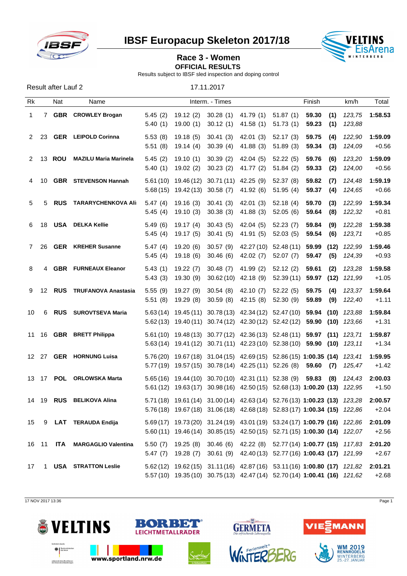

**IBSF Europacup Skeleton 2017/18 VELTINS** 



## **Race 3 - Women**

**OFFICIAL RESULTS** 

Results subject to IBSF sled inspection and doping control

| Result after Lauf 2 | 17.11.2017 |
|---------------------|------------|
|                     |            |

| Rk           |              | Nat      | Name                          |                    |                                          | Interm. - Times                           |                                                                                                                                                        |                                    | Finish              |             | km/h                | Total              |
|--------------|--------------|----------|-------------------------------|--------------------|------------------------------------------|-------------------------------------------|--------------------------------------------------------------------------------------------------------------------------------------------------------|------------------------------------|---------------------|-------------|---------------------|--------------------|
| $\mathbf{1}$ |              |          | 7 GBR CROWLEY Brogan          | 5.40(1)            |                                          | 19.00 (1) 30.12 (1)                       | 5.45 (2) 19.12 (2) 30.28 (1) 41.79 (1) 51.87 (1)<br>41.58 (1)                                                                                          | 51.73(1)                           | 59.30<br>59.23      | (1)<br>(1)  | 123,75<br>123,88    | 1:58.53            |
| 2            | -23          |          | <b>GER</b> LEIPOLD Corinna    | 5.53(8)<br>5.51(8) | 19.18(5)<br>19.14 (4)                    | 30.41(3)<br>30.39 (4)                     | 42.01 (3)<br>41.88 (3)                                                                                                                                 | 52.17(3)<br>51.89(3)               | 59.75<br>59.34      | (4)<br>(3)  | 122,90<br>124,09    | 1:59.09<br>$+0.56$ |
|              |              | 2 13 ROU | <b>MAZILU Maria Marinela</b>  | 5.45(2)<br>5.40(1) | 19.10 (1)                                | 30.39(2)<br>19.02 (2) 30.23 (2) 41.77 (2) | 42.04 (5)                                                                                                                                              | 52.22(5)<br>51.84(2)               | 59.76<br>59.33      | (6)<br>(2)  | 123,20<br>124,00    | 1:59.09<br>$+0.56$ |
| 4            | 10           |          | <b>GBR</b> STEVENSON Hannah   |                    | 5.68 (15) 19.42 (13) 30.58 (7) 41.92 (6) |                                           | 5.61 (10) 19.46 (12) 30.71 (11) 42.25 (9) 52.37 (8)                                                                                                    | 51.95 (4)                          | 59.82<br>59.37      | (7)<br>(4)  | 124,48<br>124,65    | 1:59.19<br>$+0.66$ |
| 5            | 5            |          | <b>RUS TARARYCHENKOVA Ali</b> | 5.47(4)<br>5.45(4) | 19.16 (3)<br>19.10 (3)                   | 30.41(3)<br>30.38 (3)                     | 42.01 (3)<br>41.88 (3)                                                                                                                                 | 52.18(4)<br>52.05 (6)              | 59.70<br>59.64      | (3)<br>(8)  | 122,99<br>122,32    | 1:59.34<br>$+0.81$ |
| 6            | 18           |          | <b>USA</b> DELKA Kellie       | 5.49(6)<br>5.45(4) | 19.17 (4)<br>19.17 (5) 30.41 (5)         | 30.43(5)                                  | 42.04 (5)<br>41.91 (5)                                                                                                                                 | 52.23(7)<br>52.03(5)               | 59.84<br>59.54      | (9)<br>(6)  | 122,28<br>123,71    | 1:59.38<br>$+0.85$ |
| 7            | -26          |          | <b>GER</b> KREHER Susanne     | 5.47(4)<br>5.45(4) | 19.20 (6)                                | 30.57(9)<br>19.18 (6) 30.46 (6)           | 42.02 (7)                                                                                                                                              | 42.27 (10) 52.48 (11)<br>52.07 (7) | 59.99<br>59.47      | (12)<br>(5) | 122,99<br>124,39    | 1:59.46<br>$+0.93$ |
| 8            | 4            |          | <b>GBR</b> FURNEAUX Eleanor   | 5.43(1)<br>5.43(3) | 19.22 (7)<br>19.30 (9)                   | 30.48(7)<br>$30.62(10)$ 42.18 (9)         | 41.99 (2)                                                                                                                                              | 52.12(2)<br>52.39 (11)             | 59.61<br>59.97 (12) | (2)         | 123,28<br>121,99    | 1:59.58<br>$+1.05$ |
| 9            | 12           |          | RUS TRUFANOVA Anastasia       | 5.55(9)<br>5.51(8) | 19.27 (9) 30.54 (8)<br>19.29 (8)         |                                           | 42.10 (7)<br>30.59 (8) 42.15 (8)                                                                                                                       | 52.22(5)<br>52.30 (9)              | 59.75<br>59.89      | (4)<br>(9)  | 123,37<br>122,40    | 1:59.64<br>$+1.11$ |
| 10           | 6            |          | <b>RUS</b> SUROVTSEVA Maria   |                    |                                          |                                           | $5.63(14)$ 19.45 (11) 30.78 (13) 42.34 (12) 52.47 (10)<br>5.62 (13) 19.40 (11) 30.74 (12) 42.30 (12) 52.42 (12) 59.90 (10) 123,66                      |                                    |                     |             | 59.94 (10) $123,88$ | 1:59.84<br>$+1.31$ |
|              |              |          | 11 16 GBR BRETT Philippa      |                    |                                          |                                           | 5.61 (10) 19.48 (13) 30.77 (12) 42.36 (13) 52.48 (11) 59.97 (11) 123,71<br>5.63 (14) 19.41 (12) 30.71 (11) 42.23 (10) 52.38 (10) 59.90 (10) 123,11     |                                    |                     |             |                     | 1:59.87<br>$+1.34$ |
|              | 12 27        |          | <b>GER</b> HORNUNG Luisa      |                    |                                          |                                           | 5.76 (20) 19.67 (18) 31.04 (15) 42.69 (15) 52.86 (15) 1:00.35 (14) 123,41<br>5.77 (19) 19.57 (15) 30.78 (14) 42.25 (11) 52.26 (8)                      |                                    | 59.60               | (7)         | 125,47              | 1:59.95<br>$+1.42$ |
|              | 13 17        |          | POL ORLOWSKA Marta            |                    |                                          |                                           | 5.65 (16) 19.44 (10) 30.70 (10) 42.31 (11) 52.38 (9)<br>5.61 (12) 19.63 (17) 30.98 (16) 42.50 (15) 52.68 (13) 1:00.20 (13) 122,95                      |                                    | 59.83               | (8)         | 124,43              | 2:00.03<br>$+1.50$ |
|              |              |          | 14 19 RUS BELIKOVA Alina      |                    |                                          |                                           | 5.71 (18) 19.61 (14) 31.00 (14) 42.63 (14) 52.76 (13) 1:00.23 (13) 123,28<br>5.76(18) 19.67(18) 31.06(18) 42.68(18) 52.83(17) 1:00.34 (15) 122,86      |                                    |                     |             |                     | 2:00.57<br>$+2.04$ |
|              |              |          | 15 9 LAT TERAUDA Endija       |                    |                                          |                                           | 5.69 (17) 19.73 (20) 31.24 (19) 43.01 (19) 53.24 (17) 1:00.79 (16) 122,86<br>5.60 (11) 19.46 (14) 30.85 (15) 42.50 (15) 52.71 (15) 1:00.30 (14) 122,07 |                                    |                     |             |                     | 2:01.09<br>$+2.56$ |
|              | 16 11        |          | ITA MARGAGLIO Valentina       |                    |                                          |                                           | 5.50 (7) 19.25 (8) 30.46 (6) 42.22 (8) 52.77 (14) 1:00.77 (15) 117,83<br>5.47 (7) 19.28 (7) 30.61 (9) 42.40 (13) 52.77 (16) 1:00.43 (17) 121,99        |                                    |                     |             |                     | 2:01.20<br>$+2.67$ |
| 17           | $\mathbf{1}$ |          | <b>USA STRATTON Leslie</b>    |                    |                                          |                                           | 5.62 (12) 19.62 (15) 31.11 (16) 42.87 (16) 53.11 (16) 1:00.80 (17) 121,82<br>5.57(10) 19.35(10) 30.75(13) 42.47(14) 52.70(14) 1:00.41 (16) 121,62      |                                    |                     |             |                     | 2:01.21<br>$+2.68$ |
|              |              |          |                               |                    |                                          |                                           |                                                                                                                                                        |                                    |                     |             |                     |                    |

17 NOV 2017 13:36 Page 1











WM 2019<br>RENNRODELN<br>WINTERBERG<br>25.-27. JANUAR